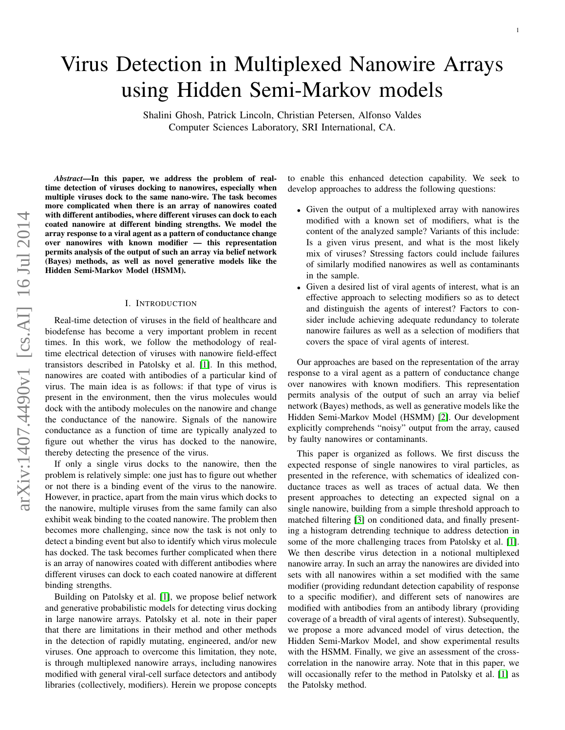# Virus Detection in Multiplexed Nanowire Arrays using Hidden Semi-Markov models

Shalini Ghosh, Patrick Lincoln, Christian Petersen, Alfonso Valdes Computer Sciences Laboratory, SRI International, CA.

*Abstract*—In this paper, we address the problem of realtime detection of viruses docking to nanowires, especially when multiple viruses dock to the same nano-wire. The task becomes more complicated when there is an array of nanowires coated with different antibodies, where different viruses can dock to each coated nanowire at different binding strengths. We model the array response to a viral agent as a pattern of conductance change over nanowires with known modifier — this representation permits analysis of the output of such an array via belief network (Bayes) methods, as well as novel generative models like the Hidden Semi-Markov Model (HSMM).

#### I. INTRODUCTION

Real-time detection of viruses in the field of healthcare and biodefense has become a very important problem in recent times. In this work, we follow the methodology of realtime electrical detection of viruses with nanowire field-effect transistors described in Patolsky et al. [\[1\]](#page-10-0). In this method, nanowires are coated with antibodies of a particular kind of virus. The main idea is as follows: if that type of virus is present in the environment, then the virus molecules would dock with the antibody molecules on the nanowire and change the conductance of the nanowire. Signals of the nanowire conductance as a function of time are typically analyzed to figure out whether the virus has docked to the nanowire, thereby detecting the presence of the virus.

If only a single virus docks to the nanowire, then the problem is relatively simple: one just has to figure out whether or not there is a binding event of the virus to the nanowire. However, in practice, apart from the main virus which docks to the nanowire, multiple viruses from the same family can also exhibit weak binding to the coated nanowire. The problem then becomes more challenging, since now the task is not only to detect a binding event but also to identify which virus molecule has docked. The task becomes further complicated when there is an array of nanowires coated with different antibodies where different viruses can dock to each coated nanowire at different binding strengths.

Building on Patolsky et al. [\[1\]](#page-10-0), we propose belief network and generative probabilistic models for detecting virus docking in large nanowire arrays. Patolsky et al. note in their paper that there are limitations in their method and other methods in the detection of rapidly mutating, engineered, and/or new viruses. One approach to overcome this limitation, they note, is through multiplexed nanowire arrays, including nanowires modified with general viral-cell surface detectors and antibody libraries (collectively, modifiers). Herein we propose concepts to enable this enhanced detection capability. We seek to develop approaches to address the following questions:

- Given the output of a multiplexed array with nanowires modified with a known set of modifiers, what is the content of the analyzed sample? Variants of this include: Is a given virus present, and what is the most likely mix of viruses? Stressing factors could include failures of similarly modified nanowires as well as contaminants in the sample.
- Given a desired list of viral agents of interest, what is an effective approach to selecting modifiers so as to detect and distinguish the agents of interest? Factors to consider include achieving adequate redundancy to tolerate nanowire failures as well as a selection of modifiers that covers the space of viral agents of interest.

Our approaches are based on the representation of the array response to a viral agent as a pattern of conductance change over nanowires with known modifiers. This representation permits analysis of the output of such an array via belief network (Bayes) methods, as well as generative models like the Hidden Semi-Markov Model (HSMM) [\[2\]](#page-10-1). Our development explicitly comprehends "noisy" output from the array, caused by faulty nanowires or contaminants.

This paper is organized as follows. We first discuss the expected response of single nanowires to viral particles, as presented in the reference, with schematics of idealized conductance traces as well as traces of actual data. We then present approaches to detecting an expected signal on a single nanowire, building from a simple threshold approach to matched filtering [\[3\]](#page-10-2) on conditioned data, and finally presenting a histogram detrending technique to address detection in some of the more challenging traces from Patolsky et al. [\[1\]](#page-10-0). We then describe virus detection in a notional multiplexed nanowire array. In such an array the nanowires are divided into sets with all nanowires within a set modified with the same modifier (providing redundant detection capability of response to a specific modifier), and different sets of nanowires are modified with antibodies from an antibody library (providing coverage of a breadth of viral agents of interest). Subsequently, we propose a more advanced model of virus detection, the Hidden Semi-Markov Model, and show experimental results with the HSMM. Finally, we give an assessment of the crosscorrelation in the nanowire array. Note that in this paper, we will occasionally refer to the method in Patolsky et al. [\[1\]](#page-10-0) as the Patolsky method.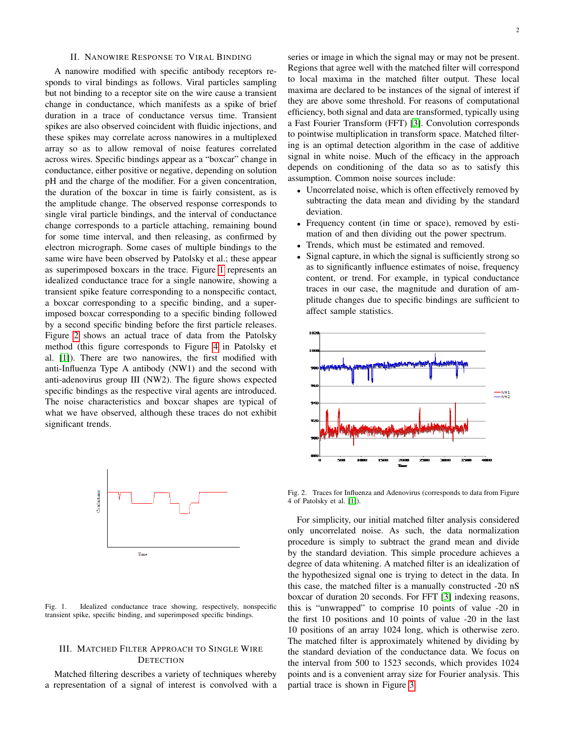#### II. NANOWIRE RESPONSE TO VIRAL BINDING

A nanowire modified with specific antibody receptors responds to viral bindings as follows. Viral particles sampling but not binding to a receptor site on the wire cause a transient change in conductance, which manifests as a spike of brief duration in a trace of conductance versus time. Transient spikes are also observed coincident with fluidic injections, and these spikes may correlate across nanowires in a multiplexed array so as to allow removal of noise features correlated across wires. Specific bindings appear as a "boxcar" change in conductance, either positive or negative, depending on solution pH and the charge of the modifier. For a given concentration, the duration of the boxcar in time is fairly consistent, as is the amplitude change. The observed response corresponds to single viral particle bindings, and the interval of conductance change corresponds to a particle attaching, remaining bound for some time interval, and then releasing, as confirmed by electron micrograph. Some cases of multiple bindings to the same wire have been observed by Patolsky et al.; these appear as superimposed boxcars in the trace. Figure [1](#page-1-0) represents an idealized conductance trace for a single nanowire, showing a transient spike feature corresponding to a nonspecific contact, a boxcar corresponding to a specific binding, and a superimposed boxcar corresponding to a specific binding followed by a second specific binding before the first particle releases. Figure [2](#page-1-1) shows an actual trace of data from the Patolsky method (this figure corresponds to Figure [4](#page-2-0) in Patolsky et al. [\[1\]](#page-10-0)). There are two nanowires, the first modified with anti-Influenza Type A antibody (NW1) and the second with anti-adenovirus group III (NW2). The figure shows expected specific bindings as the respective viral agents are introduced. The noise characteristics and boxcar shapes are typical of what we have observed, although these traces do not exhibit significant trends.



<span id="page-1-0"></span>Fig. 1. Idealized conductance trace showing, respectively, nonspecific transient spike, specific binding, and superimposed specific bindings.

# III. MATCHED FILTER APPROACH TO SINGLE WIRE **DETECTION**

Matched filtering describes a variety of techniques whereby a representation of a signal of interest is convolved with a

series or image in which the signal may or may not be present. Regions that agree well with the matched filter will correspond to local maxima in the matched filter output. These local maxima are declared to be instances of the signal of interest if they are above some threshold. For reasons of computational efficiency, both signal and data are transformed, typically using a Fast Fourier Transform (FFT) [\[3\]](#page-10-2). Convolution corresponds to pointwise multiplication in transform space. Matched filtering is an optimal detection algorithm in the case of additive signal in white noise. Much of the efficacy in the approach depends on conditioning of the data so as to satisfy this assumption. Common noise sources include:

- Uncorrelated noise, which is often effectively removed by subtracting the data mean and dividing by the standard deviation.
- Frequency content (in time or space), removed by estimation of and then dividing out the power spectrum.
- Trends, which must be estimated and removed.
- Signal capture, in which the signal is sufficiently strong so as to significantly influence estimates of noise, frequency content, or trend. For example, in typical conductance traces in our case, the magnitude and duration of amplitude changes due to specific bindings are sufficient to affect sample statistics.



<span id="page-1-1"></span>Fig. 2. Traces for Influenza and Adenovirus (corresponds to data from Figure 4 of Patolsky et al. [\[1\]](#page-10-0)).

For simplicity, our initial matched filter analysis considered only uncorrelated noise. As such, the data normalization procedure is simply to subtract the grand mean and divide by the standard deviation. This simple procedure achieves a degree of data whitening. A matched filter is an idealization of the hypothesized signal one is trying to detect in the data. In this case, the matched filter is a manually constructed -20 nS boxcar of duration 20 seconds. For FFT [\[3\]](#page-10-2) indexing reasons, this is "unwrapped" to comprise 10 points of value -20 in the first 10 positions and 10 points of value -20 in the last 10 positions of an array 1024 long, which is otherwise zero. The matched filter is approximately whitened by dividing by the standard deviation of the conductance data. We focus on the interval from 500 to 1523 seconds, which provides 1024 points and is a convenient array size for Fourier analysis. This partial trace is shown in Figure [3.](#page-2-1)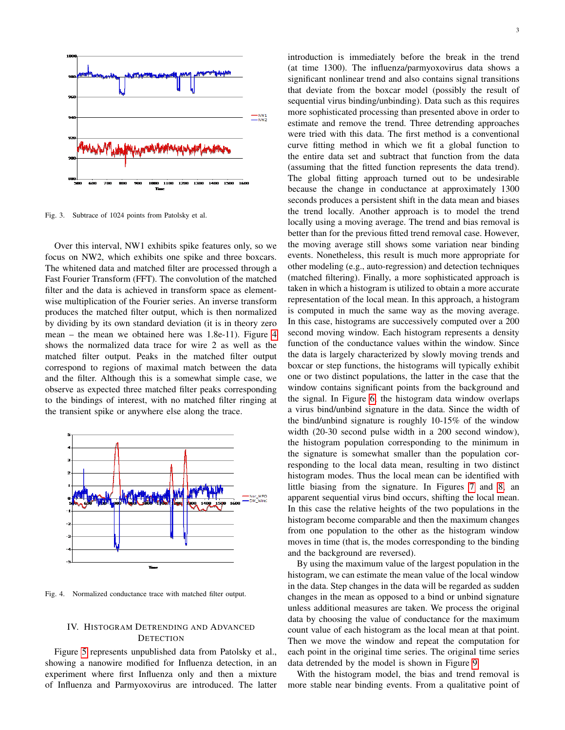

<span id="page-2-1"></span>Fig. 3. Subtrace of 1024 points from Patolsky et al.

Over this interval, NW1 exhibits spike features only, so we focus on NW2, which exhibits one spike and three boxcars. The whitened data and matched filter are processed through a Fast Fourier Transform (FFT). The convolution of the matched filter and the data is achieved in transform space as elementwise multiplication of the Fourier series. An inverse transform produces the matched filter output, which is then normalized by dividing by its own standard deviation (it is in theory zero mean – the mean we obtained here was 1.8e-11). Figure [4](#page-2-0) shows the normalized data trace for wire 2 as well as the matched filter output. Peaks in the matched filter output correspond to regions of maximal match between the data and the filter. Although this is a somewhat simple case, we observe as expected three matched filter peaks corresponding to the bindings of interest, with no matched filter ringing at the transient spike or anywhere else along the trace.



<span id="page-2-0"></span>Fig. 4. Normalized conductance trace with matched filter output.

### IV. HISTOGRAM DETRENDING AND ADVANCED **DETECTION**

Figure [5](#page-3-0) represents unpublished data from Patolsky et al., showing a nanowire modified for Influenza detection, in an experiment where first Influenza only and then a mixture of Influenza and Parmyoxovirus are introduced. The latter introduction is immediately before the break in the trend (at time 1300). The influenza/parmyoxovirus data shows a significant nonlinear trend and also contains signal transitions that deviate from the boxcar model (possibly the result of sequential virus binding/unbinding). Data such as this requires more sophisticated processing than presented above in order to estimate and remove the trend. Three detrending approaches were tried with this data. The first method is a conventional curve fitting method in which we fit a global function to the entire data set and subtract that function from the data (assuming that the fitted function represents the data trend). The global fitting approach turned out to be undesirable because the change in conductance at approximately 1300 seconds produces a persistent shift in the data mean and biases the trend locally. Another approach is to model the trend locally using a moving average. The trend and bias removal is better than for the previous fitted trend removal case. However, the moving average still shows some variation near binding events. Nonetheless, this result is much more appropriate for other modeling (e.g., auto-regression) and detection techniques (matched filtering). Finally, a more sophisticated approach is taken in which a histogram is utilized to obtain a more accurate representation of the local mean. In this approach, a histogram is computed in much the same way as the moving average. In this case, histograms are successively computed over a 200 second moving window. Each histogram represents a density function of the conductance values within the window. Since the data is largely characterized by slowly moving trends and boxcar or step functions, the histograms will typically exhibit one or two distinct populations, the latter in the case that the window contains significant points from the background and the signal. In Figure [6,](#page-3-1) the histogram data window overlaps a virus bind/unbind signature in the data. Since the width of the bind/unbind signature is roughly 10-15% of the window width (20-30 second pulse width in a 200 second window), the histogram population corresponding to the minimum in the signature is somewhat smaller than the population corresponding to the local data mean, resulting in two distinct histogram modes. Thus the local mean can be identified with little biasing from the signature. In Figures [7](#page-3-2) and [8,](#page-3-3) an apparent sequential virus bind occurs, shifting the local mean. In this case the relative heights of the two populations in the histogram become comparable and then the maximum changes from one population to the other as the histogram window moves in time (that is, the modes corresponding to the binding and the background are reversed).

By using the maximum value of the largest population in the histogram, we can estimate the mean value of the local window in the data. Step changes in the data will be regarded as sudden changes in the mean as opposed to a bind or unbind signature unless additional measures are taken. We process the original data by choosing the value of conductance for the maximum count value of each histogram as the local mean at that point. Then we move the window and repeat the computation for each point in the original time series. The original time series data detrended by the model is shown in Figure [9.](#page-3-4)

With the histogram model, the bias and trend removal is more stable near binding events. From a qualitative point of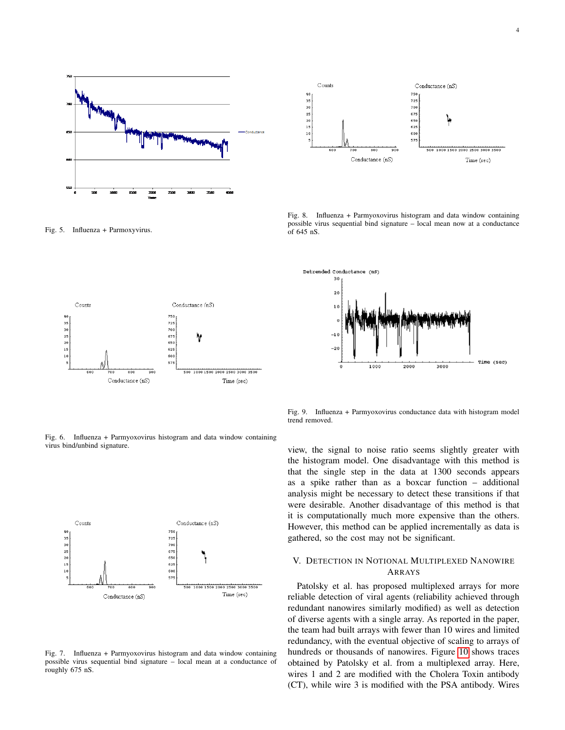

<span id="page-3-0"></span>Fig. 5. Influenza + Parmoxyvirus.



Counts Conductance (nS)  $\bf 90$ 750  $\overline{\phantom{a}}$ 725  $\overline{\phantom{a}}$ 700 25 675  $\begin{array}{c} 20 \\ 15 \end{array}$ 650 625  $\mathbf{1}$ 600 57 500 1000 1500 2000 2500 3000 3500 Conductance (nS) Time (sec)

<span id="page-3-3"></span>Fig. 8. Influenza + Parmyoxovirus histogram and data window containing possible virus sequential bind signature – local mean now at a conductance  $\int_0^5 645 \text{ nS}$ .



<span id="page-3-1"></span>Fig. 6. Influenza + Parmyoxovirus histogram and data window containing virus bind/unbind signature.



<span id="page-3-2"></span>Fig. 7. Influenza + Parmyoxovirus histogram and data window containing possible virus sequential bind signature – local mean at a conductance of roughly 675 nS.

<span id="page-3-4"></span>Fig. 9. Influenza + Parmyoxovirus conductance data with histogram model trend removed.

view, the signal to noise ratio seems slightly greater with the histogram model. One disadvantage with this method is that the single step in the data at 1300 seconds appears as a spike rather than as a boxcar function – additional analysis might be necessary to detect these transitions if that were desirable. Another disadvantage of this method is that it is computationally much more expensive than the others. However, this method can be applied incrementally as data is gathered, so the cost may not be significant.

# V. DETECTION IN NOTIONAL MULTIPLEXED NANOWIRE ARRAYS

Patolsky et al. has proposed multiplexed arrays for more reliable detection of viral agents (reliability achieved through redundant nanowires similarly modified) as well as detection of diverse agents with a single array. As reported in the paper, the team had built arrays with fewer than 10 wires and limited redundancy, with the eventual objective of scaling to arrays of hundreds or thousands of nanowires. Figure [10](#page-4-0) shows traces obtained by Patolsky et al. from a multiplexed array. Here, wires 1 and 2 are modified with the Cholera Toxin antibody (CT), while wire 3 is modified with the PSA antibody. Wires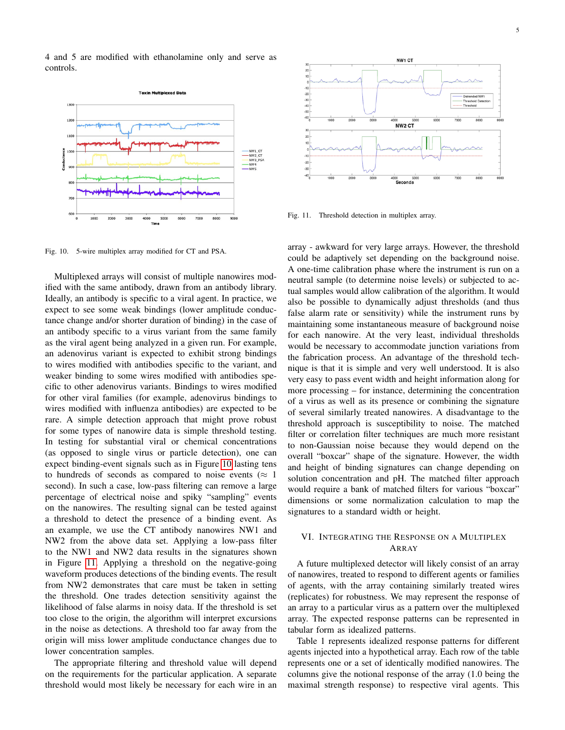4 and 5 are modified with ethanolamine only and serve as controls.



<span id="page-4-0"></span>Fig. 10. 5-wire multiplex array modified for CT and PSA.

Multiplexed arrays will consist of multiple nanowires modified with the same antibody, drawn from an antibody library. Ideally, an antibody is specific to a viral agent. In practice, we expect to see some weak bindings (lower amplitude conductance change and/or shorter duration of binding) in the case of an antibody specific to a virus variant from the same family as the viral agent being analyzed in a given run. For example, an adenovirus variant is expected to exhibit strong bindings to wires modified with antibodies specific to the variant, and weaker binding to some wires modified with antibodies specific to other adenovirus variants. Bindings to wires modified for other viral families (for example, adenovirus bindings to wires modified with influenza antibodies) are expected to be rare. A simple detection approach that might prove robust for some types of nanowire data is simple threshold testing. In testing for substantial viral or chemical concentrations (as opposed to single virus or particle detection), one can expect binding-event signals such as in Figure [10](#page-4-0) lasting tens to hundreds of seconds as compared to noise events ( $\approx 1$ ) second). In such a case, low-pass filtering can remove a large percentage of electrical noise and spiky "sampling" events on the nanowires. The resulting signal can be tested against a threshold to detect the presence of a binding event. As an example, we use the CT antibody nanowires NW1 and NW2 from the above data set. Applying a low-pass filter to the NW1 and NW2 data results in the signatures shown in Figure [11.](#page-4-1) Applying a threshold on the negative-going waveform produces detections of the binding events. The result from NW2 demonstrates that care must be taken in setting the threshold. One trades detection sensitivity against the likelihood of false alarms in noisy data. If the threshold is set too close to the origin, the algorithm will interpret excursions in the noise as detections. A threshold too far away from the origin will miss lower amplitude conductance changes due to lower concentration samples.

The appropriate filtering and threshold value will depend on the requirements for the particular application. A separate threshold would most likely be necessary for each wire in an



<span id="page-4-1"></span>Fig. 11. Threshold detection in multiplex array.

array - awkward for very large arrays. However, the threshold could be adaptively set depending on the background noise. A one-time calibration phase where the instrument is run on a neutral sample (to determine noise levels) or subjected to actual samples would allow calibration of the algorithm. It would also be possible to dynamically adjust thresholds (and thus false alarm rate or sensitivity) while the instrument runs by maintaining some instantaneous measure of background noise for each nanowire. At the very least, individual thresholds would be necessary to accommodate junction variations from the fabrication process. An advantage of the threshold technique is that it is simple and very well understood. It is also very easy to pass event width and height information along for more processing – for instance, determining the concentration of a virus as well as its presence or combining the signature of several similarly treated nanowires. A disadvantage to the threshold approach is susceptibility to noise. The matched filter or correlation filter techniques are much more resistant to non-Gaussian noise because they would depend on the overall "boxcar" shape of the signature. However, the width and height of binding signatures can change depending on solution concentration and pH. The matched filter approach would require a bank of matched filters for various "boxcar" dimensions or some normalization calculation to map the signatures to a standard width or height.

# VI. INTEGRATING THE RESPONSE ON A MULTIPLEX ARRAY

A future multiplexed detector will likely consist of an array of nanowires, treated to respond to different agents or families of agents, with the array containing similarly treated wires (replicates) for robustness. We may represent the response of an array to a particular virus as a pattern over the multiplexed array. The expected response patterns can be represented in tabular form as idealized patterns.

Table 1 represents idealized response patterns for different agents injected into a hypothetical array. Each row of the table represents one or a set of identically modified nanowires. The columns give the notional response of the array (1.0 being the maximal strength response) to respective viral agents. This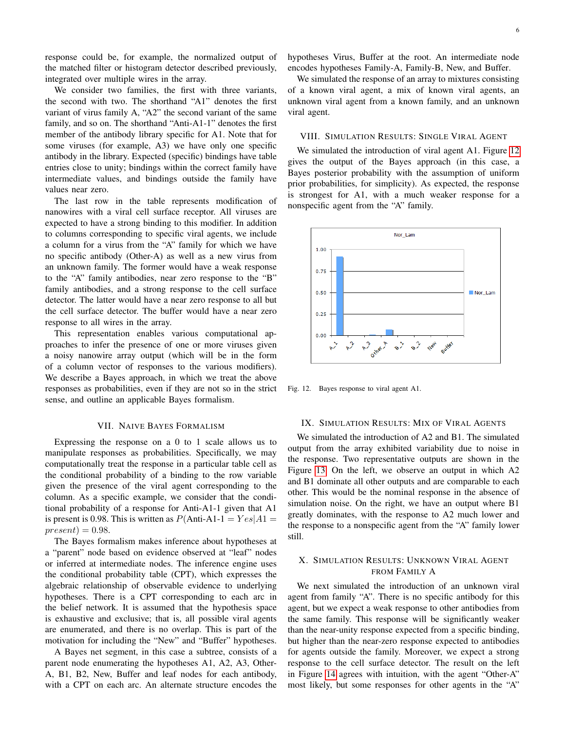response could be, for example, the normalized output of the matched filter or histogram detector described previously, integrated over multiple wires in the array.

We consider two families, the first with three variants, the second with two. The shorthand "A1" denotes the first variant of virus family A, "A2" the second variant of the same family, and so on. The shorthand "Anti-A1-1" denotes the first member of the antibody library specific for A1. Note that for some viruses (for example, A3) we have only one specific antibody in the library. Expected (specific) bindings have table entries close to unity; bindings within the correct family have intermediate values, and bindings outside the family have values near zero.

The last row in the table represents modification of nanowires with a viral cell surface receptor. All viruses are expected to have a strong binding to this modifier. In addition to columns corresponding to specific viral agents, we include a column for a virus from the "A" family for which we have no specific antibody (Other-A) as well as a new virus from an unknown family. The former would have a weak response to the "A" family antibodies, near zero response to the "B" family antibodies, and a strong response to the cell surface detector. The latter would have a near zero response to all but the cell surface detector. The buffer would have a near zero response to all wires in the array.

This representation enables various computational approaches to infer the presence of one or more viruses given a noisy nanowire array output (which will be in the form of a column vector of responses to the various modifiers). We describe a Bayes approach, in which we treat the above responses as probabilities, even if they are not so in the strict sense, and outline an applicable Bayes formalism.

#### VII. NAIVE BAYES FORMALISM

Expressing the response on a 0 to 1 scale allows us to manipulate responses as probabilities. Specifically, we may computationally treat the response in a particular table cell as the conditional probability of a binding to the row variable given the presence of the viral agent corresponding to the column. As a specific example, we consider that the conditional probability of a response for Anti-A1-1 given that A1 is present is 0.98. This is written as  $P(\text{Anti-A1-1} = Yes|A1 =$  $present) = 0.98.$ 

The Bayes formalism makes inference about hypotheses at a "parent" node based on evidence observed at "leaf" nodes or inferred at intermediate nodes. The inference engine uses the conditional probability table (CPT), which expresses the algebraic relationship of observable evidence to underlying hypotheses. There is a CPT corresponding to each arc in the belief network. It is assumed that the hypothesis space is exhaustive and exclusive; that is, all possible viral agents are enumerated, and there is no overlap. This is part of the motivation for including the "New" and "Buffer" hypotheses.

A Bayes net segment, in this case a subtree, consists of a parent node enumerating the hypotheses A1, A2, A3, Other-A, B1, B2, New, Buffer and leaf nodes for each antibody, with a CPT on each arc. An alternate structure encodes the hypotheses Virus, Buffer at the root. An intermediate node encodes hypotheses Family-A, Family-B, New, and Buffer.

We simulated the response of an array to mixtures consisting of a known viral agent, a mix of known viral agents, an unknown viral agent from a known family, and an unknown viral agent.

### VIII. SIMULATION RESULTS: SINGLE VIRAL AGENT

We simulated the introduction of viral agent A1. Figure [12](#page-5-0) gives the output of the Bayes approach (in this case, a Bayes posterior probability with the assumption of uniform prior probabilities, for simplicity). As expected, the response is strongest for A1, with a much weaker response for a nonspecific agent from the "A" family.



<span id="page-5-0"></span>Fig. 12. Bayes response to viral agent A1.

#### IX. SIMULATION RESULTS: MIX OF VIRAL AGENTS

We simulated the introduction of A2 and B1. The simulated output from the array exhibited variability due to noise in the response. Two representative outputs are shown in the Figure [13.](#page-6-0) On the left, we observe an output in which A2 and B1 dominate all other outputs and are comparable to each other. This would be the nominal response in the absence of simulation noise. On the right, we have an output where B1 greatly dominates, with the response to A2 much lower and the response to a nonspecific agent from the "A" family lower still.

# X. SIMULATION RESULTS: UNKNOWN VIRAL AGENT FROM FAMILY A

We next simulated the introduction of an unknown viral agent from family "A". There is no specific antibody for this agent, but we expect a weak response to other antibodies from the same family. This response will be significantly weaker than the near-unity response expected from a specific binding, but higher than the near-zero response expected to antibodies for agents outside the family. Moreover, we expect a strong response to the cell surface detector. The result on the left in Figure [14](#page-6-1) agrees with intuition, with the agent "Other-A" most likely, but some responses for other agents in the "A"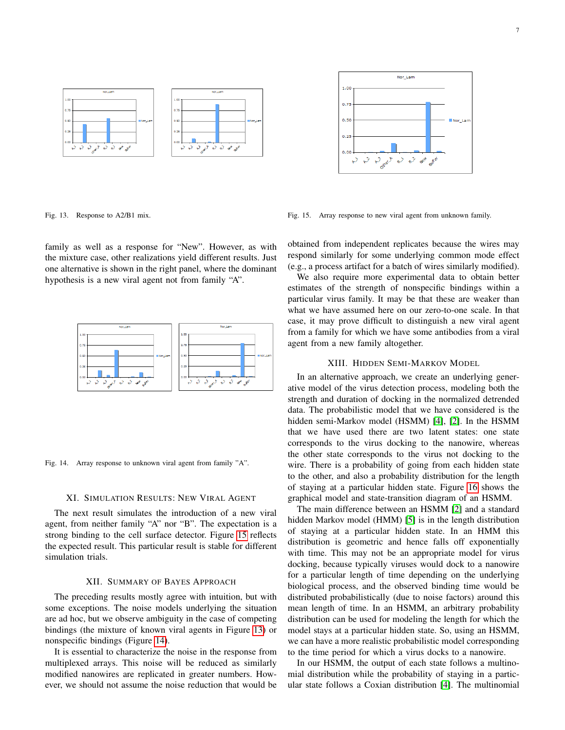

Nor Lam  $1.01$  $0.7!$  $0.51$ Nor La  $0.2!$  $0.00$ anel P e >  $\circ^{\mathcal{Y}}$ **New off** 

<span id="page-6-0"></span>Fig. 13. Response to A2/B1 mix.

family as well as a response for "New". However, as with the mixture case, other realizations yield different results. Just one alternative is shown in the right panel, where the dominant hypothesis is a new viral agent not from family "A".



<span id="page-6-1"></span>Fig. 14. Array response to unknown viral agent from family "A".

#### XI. SIMULATION RESULTS: NEW VIRAL AGENT

The next result simulates the introduction of a new viral agent, from neither family "A" nor "B". The expectation is a strong binding to the cell surface detector. Figure [15](#page-6-2) reflects the expected result. This particular result is stable for different simulation trials.

# XII. SUMMARY OF BAYES APPROACH

The preceding results mostly agree with intuition, but with some exceptions. The noise models underlying the situation are ad hoc, but we observe ambiguity in the case of competing bindings (the mixture of known viral agents in Figure [13\)](#page-6-0) or nonspecific bindings (Figure [14\)](#page-6-1).

It is essential to characterize the noise in the response from multiplexed arrays. This noise will be reduced as similarly modified nanowires are replicated in greater numbers. However, we should not assume the noise reduction that would be

<span id="page-6-2"></span>Fig. 15. Array response to new viral agent from unknown family.

obtained from independent replicates because the wires may respond similarly for some underlying common mode effect (e.g., a process artifact for a batch of wires similarly modified).

We also require more experimental data to obtain better estimates of the strength of nonspecific bindings within a particular virus family. It may be that these are weaker than what we have assumed here on our zero-to-one scale. In that case, it may prove difficult to distinguish a new viral agent from a family for which we have some antibodies from a viral agent from a new family altogether.

#### XIII. HIDDEN SEMI-MARKOV MODEL

In an alternative approach, we create an underlying generative model of the virus detection process, modeling both the strength and duration of docking in the normalized detrended data. The probabilistic model that we have considered is the hidden semi-Markov model (HSMM) [\[4\]](#page-10-3), [\[2\]](#page-10-1). In the HSMM that we have used there are two latent states: one state corresponds to the virus docking to the nanowire, whereas the other state corresponds to the virus not docking to the wire. There is a probability of going from each hidden state to the other, and also a probability distribution for the length of staying at a particular hidden state. Figure [16](#page-7-0) shows the graphical model and state-transition diagram of an HSMM.

The main difference between an HSMM [\[2\]](#page-10-1) and a standard hidden Markov model (HMM) [\[5\]](#page-10-4) is in the length distribution of staying at a particular hidden state. In an HMM this distribution is geometric and hence falls off exponentially with time. This may not be an appropriate model for virus docking, because typically viruses would dock to a nanowire for a particular length of time depending on the underlying biological process, and the observed binding time would be distributed probabilistically (due to noise factors) around this mean length of time. In an HSMM, an arbitrary probability distribution can be used for modeling the length for which the model stays at a particular hidden state. So, using an HSMM, we can have a more realistic probabilistic model corresponding to the time period for which a virus docks to a nanowire.

In our HSMM, the output of each state follows a multinomial distribution while the probability of staying in a particular state follows a Coxian distribution [\[4\]](#page-10-3). The multinomial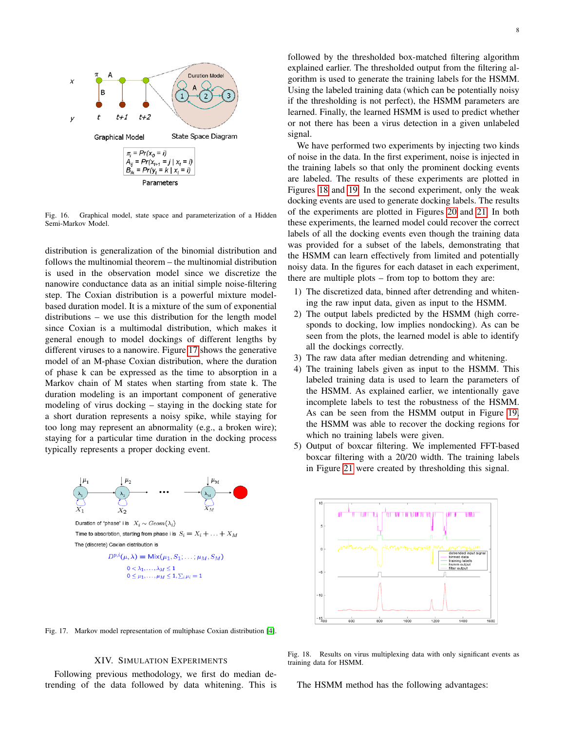

<span id="page-7-0"></span>Fig. 16. Graphical model, state space and parameterization of a Hidden Semi-Markov Model.

distribution is generalization of the binomial distribution and follows the multinomial theorem – the multinomial distribution is used in the observation model since we discretize the nanowire conductance data as an initial simple noise-filtering step. The Coxian distribution is a powerful mixture modelbased duration model. It is a mixture of the sum of exponential distributions – we use this distribution for the length model since Coxian is a multimodal distribution, which makes it general enough to model dockings of different lengths by different viruses to a nanowire. Figure [17](#page-7-1) shows the generative model of an M-phase Coxian distribution, where the duration of phase k can be expressed as the time to absorption in a Markov chain of M states when starting from state k. The duration modeling is an important component of generative modeling of virus docking – staying in the docking state for a short duration represents a noisy spike, while staying for too long may represent an abnormality (e.g., a broken wire); staying for a particular time duration in the docking process typically represents a proper docking event.



<span id="page-7-1"></span>Fig. 17. Markov model representation of multiphase Coxian distribution [\[4\]](#page-10-3).

# XIV. SIMULATION EXPERIMENTS

Following previous methodology, we first do median detrending of the data followed by data whitening. This is followed by the thresholded box-matched filtering algorithm explained earlier. The thresholded output from the filtering algorithm is used to generate the training labels for the HSMM. Using the labeled training data (which can be potentially noisy if the thresholding is not perfect), the HSMM parameters are learned. Finally, the learned HSMM is used to predict whether or not there has been a virus detection in a given unlabeled signal.

We have performed two experiments by injecting two kinds of noise in the data. In the first experiment, noise is injected in the training labels so that only the prominent docking events are labeled. The results of these experiments are plotted in Figures [18](#page-7-2) and [19.](#page-8-0) In the second experiment, only the weak docking events are used to generate docking labels. The results of the experiments are plotted in Figures [20](#page-8-1) and [21.](#page-8-2) In both these experiments, the learned model could recover the correct labels of all the docking events even though the training data was provided for a subset of the labels, demonstrating that the HSMM can learn effectively from limited and potentially noisy data. In the figures for each dataset in each experiment, there are multiple plots – from top to bottom they are:

- 1) The discretized data, binned after detrending and whitening the raw input data, given as input to the HSMM.
- 2) The output labels predicted by the HSMM (high corresponds to docking, low implies nondocking). As can be seen from the plots, the learned model is able to identify all the dockings correctly.
- 3) The raw data after median detrending and whitening.
- 4) The training labels given as input to the HSMM. This labeled training data is used to learn the parameters of the HSMM. As explained earlier, we intentionally gave incomplete labels to test the robustness of the HSMM. As can be seen from the HSMM output in Figure [19,](#page-8-0) the HSMM was able to recover the docking regions for which no training labels were given.
- 5) Output of boxcar filtering. We implemented FFT-based boxcar filtering with a 20/20 width. The training labels in Figure [21](#page-8-2) were created by thresholding this signal.



<span id="page-7-2"></span>Fig. 18. Results on virus multiplexing data with only significant events as training data for HSMM.

The HSMM method has the following advantages: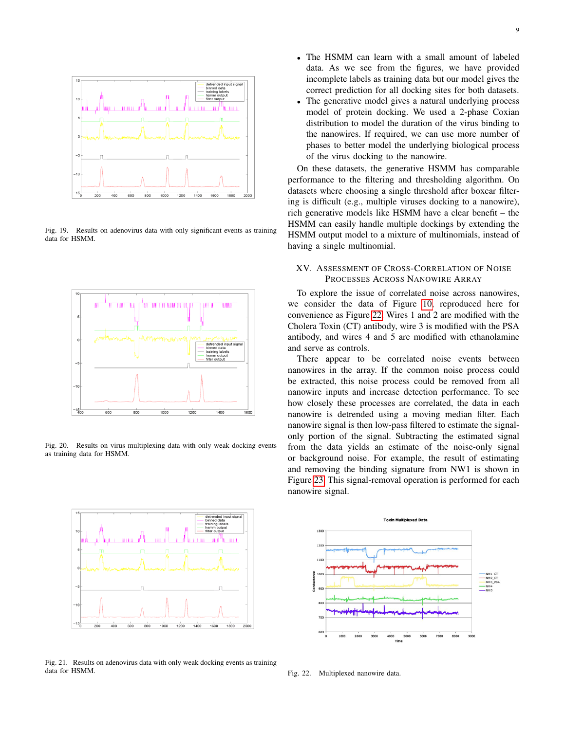

<span id="page-8-0"></span>Fig. 19. Results on adenovirus data with only significant events as training data for HSMM.



<span id="page-8-1"></span>Fig. 20. Results on virus multiplexing data with only weak docking events as training data for HSMM.



<span id="page-8-2"></span>Fig. 21. Results on adenovirus data with only weak docking events as training data for HSMM.

- The HSMM can learn with a small amount of labeled data. As we see from the figures, we have provided incomplete labels as training data but our model gives the correct prediction for all docking sites for both datasets.
- The generative model gives a natural underlying process model of protein docking. We used a 2-phase Coxian distribution to model the duration of the virus binding to the nanowires. If required, we can use more number of phases to better model the underlying biological process of the virus docking to the nanowire.

On these datasets, the generative HSMM has comparable performance to the filtering and thresholding algorithm. On datasets where choosing a single threshold after boxcar filtering is difficult (e.g., multiple viruses docking to a nanowire), rich generative models like HSMM have a clear benefit – the HSMM can easily handle multiple dockings by extending the HSMM output model to a mixture of multinomials, instead of having a single multinomial.

# XV. ASSESSMENT OF CROSS-CORRELATION OF NOISE PROCESSES ACROSS NANOWIRE ARRAY

To explore the issue of correlated noise across nanowires, we consider the data of Figure [10,](#page-4-0) reproduced here for convenience as Figure [22.](#page-8-3) Wires 1 and 2 are modified with the Cholera Toxin (CT) antibody, wire 3 is modified with the PSA antibody, and wires 4 and 5 are modified with ethanolamine and serve as controls.

There appear to be correlated noise events between nanowires in the array. If the common noise process could be extracted, this noise process could be removed from all nanowire inputs and increase detection performance. To see how closely these processes are correlated, the data in each nanowire is detrended using a moving median filter. Each nanowire signal is then low-pass filtered to estimate the signalonly portion of the signal. Subtracting the estimated signal from the data yields an estimate of the noise-only signal or background noise. For example, the result of estimating and removing the binding signature from NW1 is shown in Figure [23.](#page-9-0) This signal-removal operation is performed for each nanowire signal.



<span id="page-8-3"></span>Fig. 22. Multiplexed nanowire data.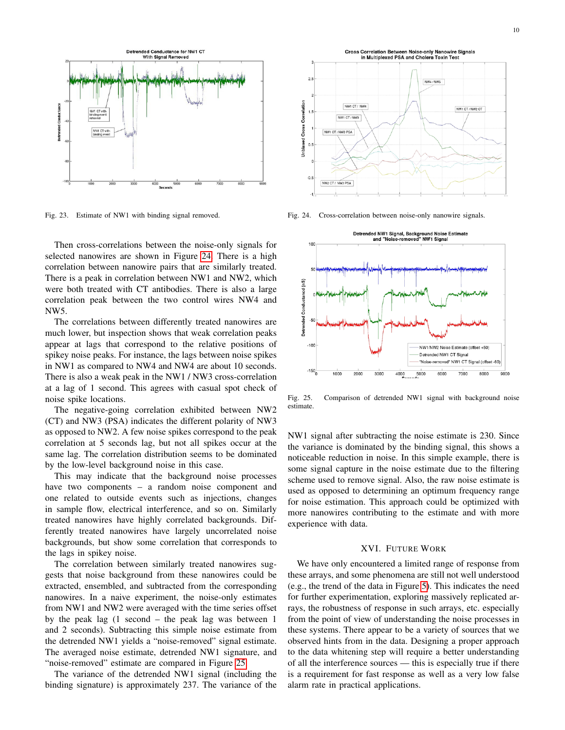

<span id="page-9-0"></span>Fig. 23. Estimate of NW1 with binding signal removed.

Then cross-correlations between the noise-only signals for selected nanowires are shown in Figure [24.](#page-9-1) There is a high correlation between nanowire pairs that are similarly treated. There is a peak in correlation between NW1 and NW2, which were both treated with CT antibodies. There is also a large correlation peak between the two control wires NW4 and NW5.

The correlations between differently treated nanowires are much lower, but inspection shows that weak correlation peaks appear at lags that correspond to the relative positions of spikey noise peaks. For instance, the lags between noise spikes in NW1 as compared to NW4 and NW4 are about 10 seconds. There is also a weak peak in the NW1 / NW3 cross-correlation at a lag of 1 second. This agrees with casual spot check of noise spike locations.

The negative-going correlation exhibited between NW2 (CT) and NW3 (PSA) indicates the different polarity of NW3 as opposed to NW2. A few noise spikes correspond to the peak correlation at 5 seconds lag, but not all spikes occur at the same lag. The correlation distribution seems to be dominated by the low-level background noise in this case.

This may indicate that the background noise processes have two components – a random noise component and one related to outside events such as injections, changes in sample flow, electrical interference, and so on. Similarly treated nanowires have highly correlated backgrounds. Differently treated nanowires have largely uncorrelated noise backgrounds, but show some correlation that corresponds to the lags in spikey noise.

The correlation between similarly treated nanowires suggests that noise background from these nanowires could be extracted, ensembled, and subtracted from the corresponding nanowires. In a naive experiment, the noise-only estimates from NW1 and NW2 were averaged with the time series offset by the peak lag (1 second – the peak lag was between 1 and 2 seconds). Subtracting this simple noise estimate from the detrended NW1 yields a "noise-removed" signal estimate. The averaged noise estimate, detrended NW1 signature, and "noise-removed" estimate are compared in Figure [25.](#page-9-2)

The variance of the detrended NW1 signal (including the binding signature) is approximately 237. The variance of the



<span id="page-9-1"></span>Fig. 24. Cross-correlation between noise-only nanowire signals.



<span id="page-9-2"></span>Fig. 25. Comparison of detrended NW1 signal with background noise estimate.

NW1 signal after subtracting the noise estimate is 230. Since the variance is dominated by the binding signal, this shows a noticeable reduction in noise. In this simple example, there is some signal capture in the noise estimate due to the filtering scheme used to remove signal. Also, the raw noise estimate is used as opposed to determining an optimum frequency range for noise estimation. This approach could be optimized with more nanowires contributing to the estimate and with more experience with data.

## XVI. FUTURE WORK

We have only encountered a limited range of response from these arrays, and some phenomena are still not well understood (e.g., the trend of the data in Figure [5\)](#page-3-0). This indicates the need for further experimentation, exploring massively replicated arrays, the robustness of response in such arrays, etc. especially from the point of view of understanding the noise processes in these systems. There appear to be a variety of sources that we observed hints from in the data. Designing a proper approach to the data whitening step will require a better understanding of all the interference sources — this is especially true if there is a requirement for fast response as well as a very low false alarm rate in practical applications.